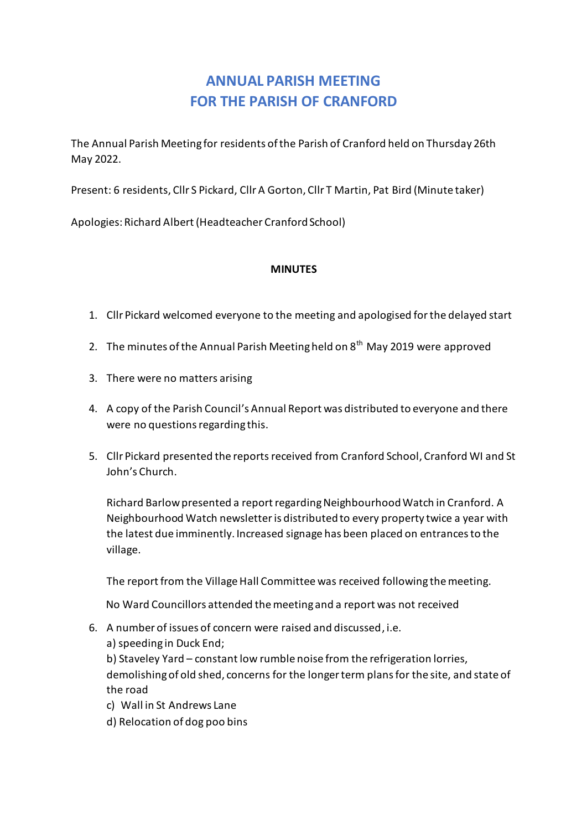## **ANNUAL PARISH MEETING FOR THE PARISH OF CRANFORD**

The Annual Parish Meeting for residents of the Parish of Cranford held on Thursday 26th May 2022.

Present: 6 residents, Cllr S Pickard, Cllr A Gorton, Cllr T Martin, Pat Bird (Minute taker)

Apologies: Richard Albert (Headteacher Cranford School)

## **MINUTES**

- 1. Cllr Pickard welcomed everyone to the meeting and apologised for the delayed start
- 2. The minutes of the Annual Parish Meeting held on  $8<sup>th</sup>$  May 2019 were approved
- 3. There were no matters arising
- 4. A copy of the Parish Council's Annual Report was distributed to everyone and there were no questions regarding this.
- 5. Cllr Pickard presented the reports received from Cranford School, Cranford WI and St John's Church.

Richard Barlow presented a report regarding Neighbourhood Watch in Cranford. A Neighbourhood Watch newsletter is distributed to every property twice a year with the latest due imminently. Increased signage has been placed on entrances to the village.

The report from the Village Hall Committee was received following the meeting.

No Ward Councillors attended the meeting and a report was not received

6. A number of issues of concern were raised and discussed, i.e.

a) speeding in Duck End;

b) Staveley Yard – constant low rumble noise from the refrigeration lorries, demolishing of old shed, concerns for the longer term plans for the site, and state of the road

- c) Wall in St Andrews Lane
- d) Relocation of dog poo bins